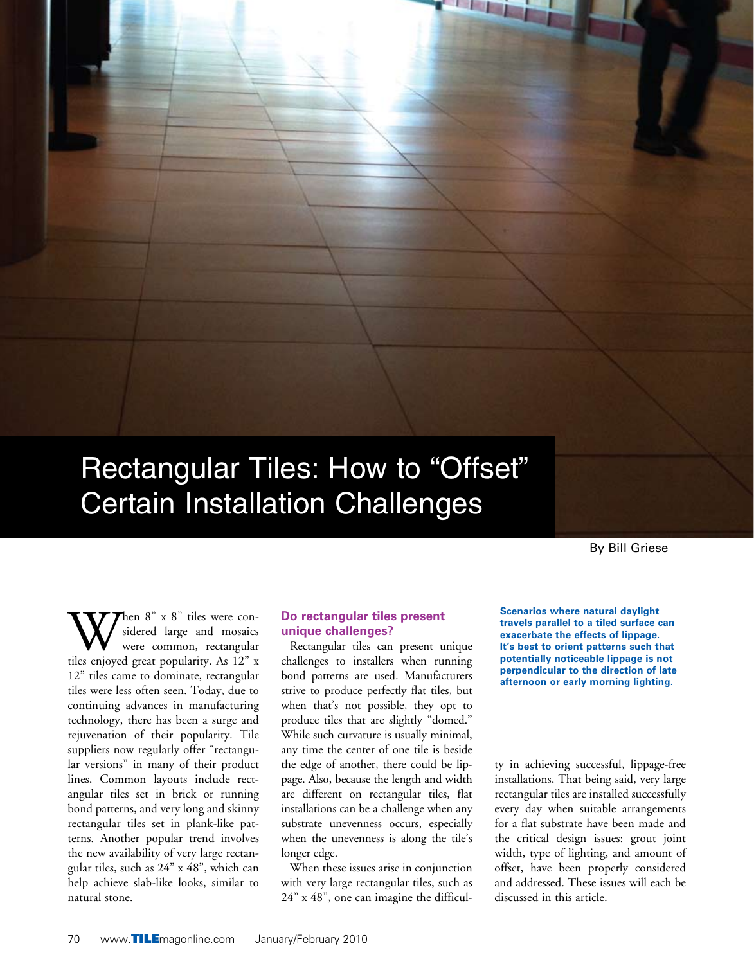# Rectangular Tiles: How to "Offset" Certain Installation Challenges

By Bill Griese

When 8" x 8" tiles were con-<br>sidered large and mosaics<br>tiles enjoyed great popularity. As 12" x sidered large and mosaics were common, rectangular 12" tiles came to dominate, rectangular tiles were less often seen. Today, due to continuing advances in manufacturing technology, there has been a surge and rejuvenation of their popularity. Tile suppliers now regularly offer "rectangular versions" in many of their product lines. Common layouts include rectangular tiles set in brick or running bond patterns, and very long and skinny rectangular tiles set in plank-like patterns. Another popular trend involves the new availability of very large rectangular tiles, such as 24" x 48", which can help achieve slab-like looks, similar to natural stone.

#### **Do rectangular tiles present unique challenges?**

Rectangular tiles can present unique challenges to installers when running bond patterns are used. Manufacturers strive to produce perfectly flat tiles, but when that's not possible, they opt to produce tiles that are slightly "domed." While such curvature is usually minimal, any time the center of one tile is beside the edge of another, there could be lippage. Also, because the length and width are different on rectangular tiles, flat installations can be a challenge when any substrate unevenness occurs, especially when the unevenness is along the tile's longer edge.

When these issues arise in conjunction with very large rectangular tiles, such as 24" x 48", one can imagine the difficul**Scenarios where natural daylight travels parallel to a tiled surface can exacerbate the effects of lippage. It's best to orient patterns such that potentially noticeable lippage is not perpendicular to the direction of late afternoon or early morning lighting.**

ty in achieving successful, lippage-free installations. That being said, very large rectangular tiles are installed successfully every day when suitable arrangements for a flat substrate have been made and the critical design issues: grout joint width, type of lighting, and amount of offset, have been properly considered and addressed. These issues will each be discussed in this article.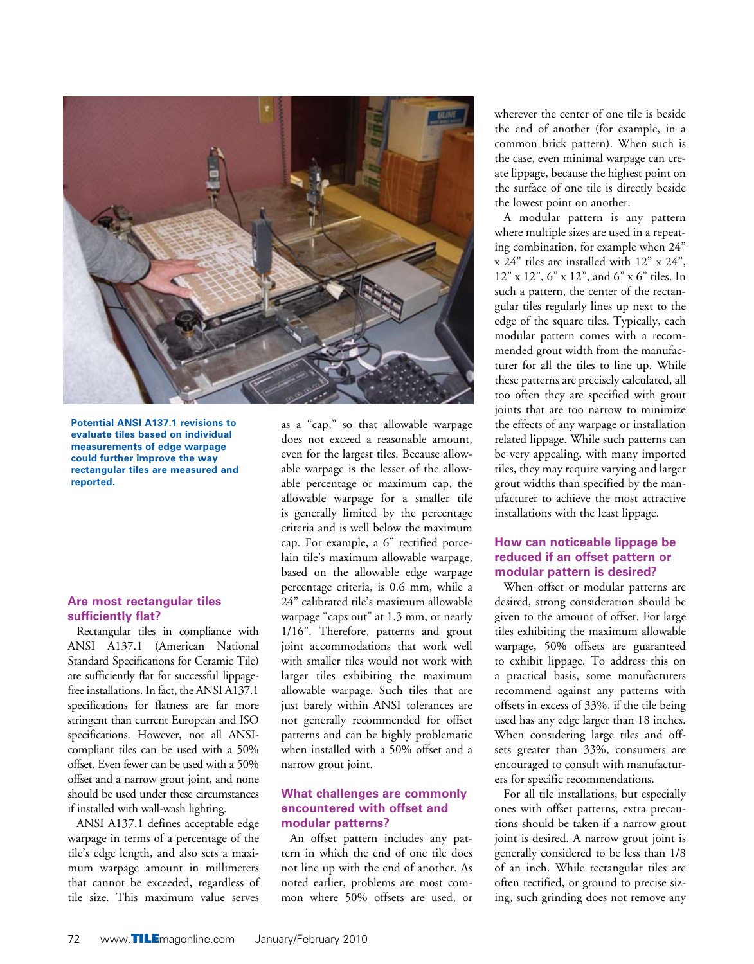

**Potential ANSI A137.1 revisions to evaluate tiles based on individual measurements of edge warpage could further improve the way rectangular tiles are measured and reported.**

### **Are most rectangular tiles sufficiently flat?**

Rectangular tiles in compliance with ANSI A137.1 (American National Standard Specifications for Ceramic Tile) are sufficiently flat for successful lippagefree installations. In fact, the ANSI A137.1 specifications for flatness are far more stringent than current European and ISO specifications. However, not all ANSIcompliant tiles can be used with a 50% offset. Even fewer can be used with a 50% offset and a narrow grout joint, and none should be used under these circumstances if installed with wall-wash lighting.

ANSI A137.1 defines acceptable edge warpage in terms of a percentage of the tile's edge length, and also sets a maximum warpage amount in millimeters that cannot be exceeded, regardless of tile size. This maximum value serves as a "cap," so that allowable warpage does not exceed a reasonable amount, even for the largest tiles. Because allowable warpage is the lesser of the allowable percentage or maximum cap, the allowable warpage for a smaller tile is generally limited by the percentage criteria and is well below the maximum cap. For example, a 6" rectified porcelain tile's maximum allowable warpage, based on the allowable edge warpage percentage criteria, is 0.6 mm, while a 24" calibrated tile's maximum allowable warpage "caps out" at 1.3 mm, or nearly 1/16". Therefore, patterns and grout joint accommodations that work well with smaller tiles would not work with larger tiles exhibiting the maximum allowable warpage. Such tiles that are just barely within ANSI tolerances are not generally recommended for offset patterns and can be highly problematic when installed with a 50% offset and a narrow grout joint.

#### **What challenges are commonly encountered with offset and modular patterns?**

An offset pattern includes any pattern in which the end of one tile does not line up with the end of another. As noted earlier, problems are most common where 50% offsets are used, or

wherever the center of one tile is beside the end of another (for example, in a common brick pattern). When such is the case, even minimal warpage can create lippage, because the highest point on the surface of one tile is directly beside the lowest point on another.

A modular pattern is any pattern where multiple sizes are used in a repeating combination, for example when 24" x 24" tiles are installed with 12" x 24", 12" x 12", 6" x 12", and 6" x 6" tiles. In such a pattern, the center of the rectangular tiles regularly lines up next to the edge of the square tiles. Typically, each modular pattern comes with a recommended grout width from the manufacturer for all the tiles to line up. While these patterns are precisely calculated, all too often they are specified with grout joints that are too narrow to minimize the effects of any warpage or installation related lippage. While such patterns can be very appealing, with many imported tiles, they may require varying and larger grout widths than specified by the manufacturer to achieve the most attractive installations with the least lippage.

#### **How can noticeable lippage be reduced if an offset pattern or modular pattern is desired?**

When offset or modular patterns are desired, strong consideration should be given to the amount of offset. For large tiles exhibiting the maximum allowable warpage, 50% offsets are guaranteed to exhibit lippage. To address this on a practical basis, some manufacturers recommend against any patterns with offsets in excess of 33%, if the tile being used has any edge larger than 18 inches. When considering large tiles and offsets greater than 33%, consumers are encouraged to consult with manufacturers for specific recommendations.

For all tile installations, but especially ones with offset patterns, extra precautions should be taken if a narrow grout joint is desired. A narrow grout joint is generally considered to be less than 1/8 of an inch. While rectangular tiles are often rectified, or ground to precise sizing, such grinding does not remove any